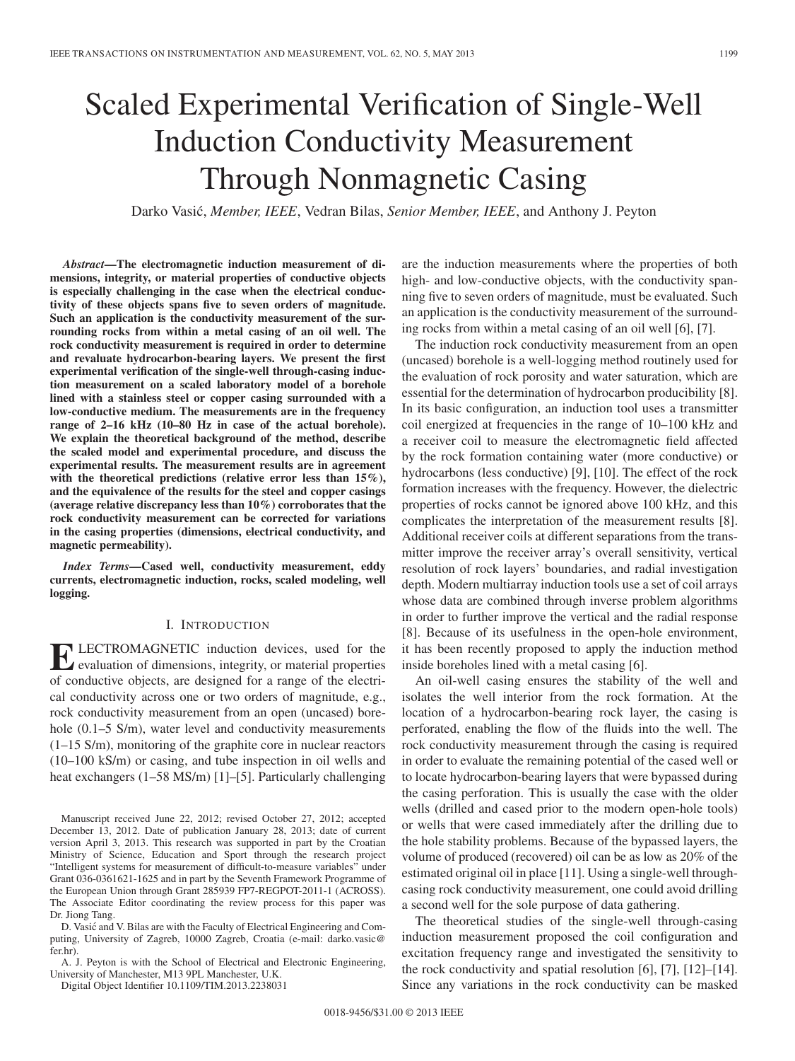# Scaled Experimental Verification of Single-Well Induction Conductivity Measurement Through Nonmagnetic Casing

Darko Vasic,´ *Member, IEEE*, Vedran Bilas, *Senior Member, IEEE*, and Anthony J. Peyton

*Abstract***—The electromagnetic induction measurement of dimensions, integrity, or material properties of conductive objects is especially challenging in the case when the electrical conductivity of these objects spans five to seven orders of magnitude. Such an application is the conductivity measurement of the surrounding rocks from within a metal casing of an oil well. The rock conductivity measurement is required in order to determine and revaluate hydrocarbon-bearing layers. We present the first experimental verification of the single-well through-casing induction measurement on a scaled laboratory model of a borehole lined with a stainless steel or copper casing surrounded with a low-conductive medium. The measurements are in the frequency range of 2–16 kHz (10–80 Hz in case of the actual borehole). We explain the theoretical background of the method, describe the scaled model and experimental procedure, and discuss the experimental results. The measurement results are in agreement with the theoretical predictions (relative error less than 15%), and the equivalence of the results for the steel and copper casings (average relative discrepancy less than 10%) corroborates that the rock conductivity measurement can be corrected for variations in the casing properties (dimensions, electrical conductivity, and magnetic permeability).**

*Index Terms***—Cased well, conductivity measurement, eddy currents, electromagnetic induction, rocks, scaled modeling, well logging.**

## I. INTRODUCTION

LECTROMAGNETIC induction devices, used for the evaluation of dimensions, integrity, or material properties of conductive objects, are designed for a range of the electrical conductivity across one or two orders of magnitude, e.g., rock conductivity measurement from an open (uncased) borehole (0.1–5 S/m), water level and conductivity measurements (1–15 S/m), monitoring of the graphite core in nuclear reactors (10–100 kS/m) or casing, and tube inspection in oil wells and heat exchangers (1–58 MS/m) [1]–[5]. Particularly challenging

D. Vasic and V. Bilas are with the Faculty of Electrical Engineering and Com- ´ puting, University of Zagreb, 10000 Zagreb, Croatia (e-mail: darko.vasic@ fer.hr).

A. J. Peyton is with the School of Electrical and Electronic Engineering, University of Manchester, M13 9PL Manchester, U.K.

Digital Object Identifier 10.1109/TIM.2013.2238031

are the induction measurements where the properties of both high- and low-conductive objects, with the conductivity spanning five to seven orders of magnitude, must be evaluated. Such an application is the conductivity measurement of the surrounding rocks from within a metal casing of an oil well [6], [7].

The induction rock conductivity measurement from an open (uncased) borehole is a well-logging method routinely used for the evaluation of rock porosity and water saturation, which are essential for the determination of hydrocarbon producibility [8]. In its basic configuration, an induction tool uses a transmitter coil energized at frequencies in the range of 10–100 kHz and a receiver coil to measure the electromagnetic field affected by the rock formation containing water (more conductive) or hydrocarbons (less conductive) [9], [10]. The effect of the rock formation increases with the frequency. However, the dielectric properties of rocks cannot be ignored above 100 kHz, and this complicates the interpretation of the measurement results [8]. Additional receiver coils at different separations from the transmitter improve the receiver array's overall sensitivity, vertical resolution of rock layers' boundaries, and radial investigation depth. Modern multiarray induction tools use a set of coil arrays whose data are combined through inverse problem algorithms in order to further improve the vertical and the radial response [8]. Because of its usefulness in the open-hole environment, it has been recently proposed to apply the induction method inside boreholes lined with a metal casing [6].

An oil-well casing ensures the stability of the well and isolates the well interior from the rock formation. At the location of a hydrocarbon-bearing rock layer, the casing is perforated, enabling the flow of the fluids into the well. The rock conductivity measurement through the casing is required in order to evaluate the remaining potential of the cased well or to locate hydrocarbon-bearing layers that were bypassed during the casing perforation. This is usually the case with the older wells (drilled and cased prior to the modern open-hole tools) or wells that were cased immediately after the drilling due to the hole stability problems. Because of the bypassed layers, the volume of produced (recovered) oil can be as low as 20% of the estimated original oil in place [11]. Using a single-well throughcasing rock conductivity measurement, one could avoid drilling a second well for the sole purpose of data gathering.

The theoretical studies of the single-well through-casing induction measurement proposed the coil configuration and excitation frequency range and investigated the sensitivity to the rock conductivity and spatial resolution [6], [7], [12]–[14]. Since any variations in the rock conductivity can be masked

Manuscript received June 22, 2012; revised October 27, 2012; accepted December 13, 2012. Date of publication January 28, 2013; date of current version April 3, 2013. This research was supported in part by the Croatian Ministry of Science, Education and Sport through the research project "Intelligent systems for measurement of difficult-to-measure variables" under Grant 036-0361621-1625 and in part by the Seventh Framework Programme of the European Union through Grant 285939 FP7-REGPOT-2011-1 (ACROSS). The Associate Editor coordinating the review process for this paper was Dr. Jiong Tang.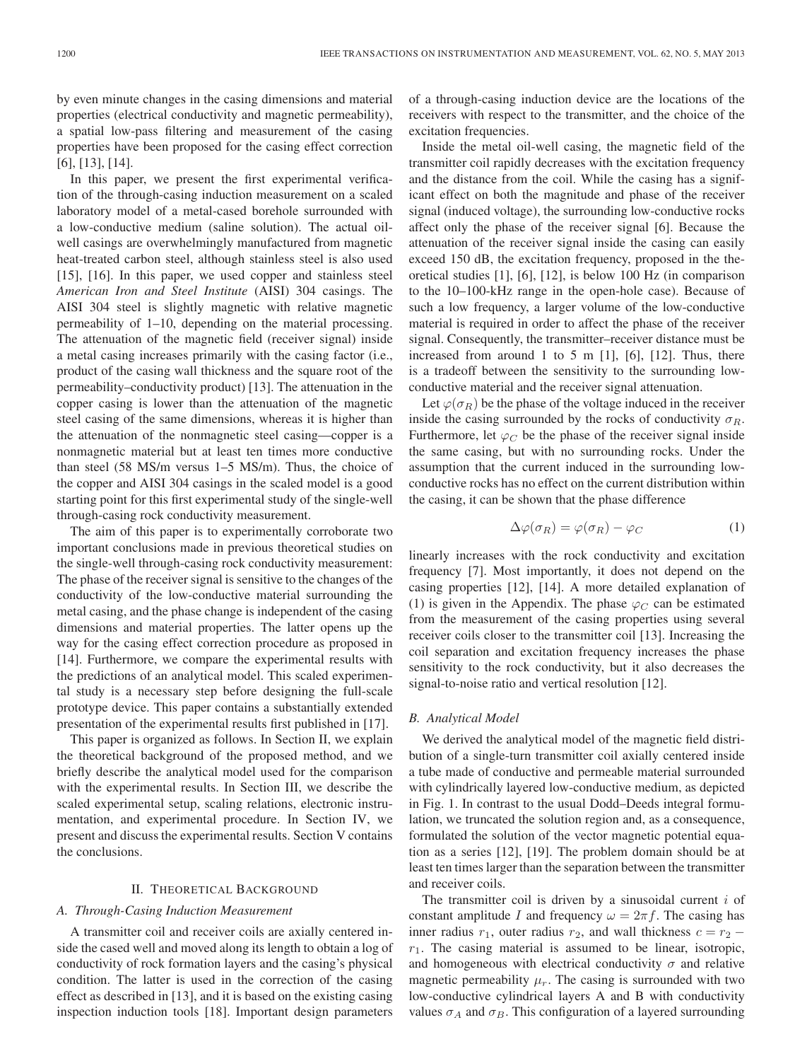by even minute changes in the casing dimensions and material properties (electrical conductivity and magnetic permeability), a spatial low-pass filtering and measurement of the casing properties have been proposed for the casing effect correction [6], [13], [14].

In this paper, we present the first experimental verification of the through-casing induction measurement on a scaled laboratory model of a metal-cased borehole surrounded with a low-conductive medium (saline solution). The actual oilwell casings are overwhelmingly manufactured from magnetic heat-treated carbon steel, although stainless steel is also used [15], [16]. In this paper, we used copper and stainless steel *American Iron and Steel Institute* (AISI) 304 casings. The AISI 304 steel is slightly magnetic with relative magnetic permeability of 1–10, depending on the material processing. The attenuation of the magnetic field (receiver signal) inside a metal casing increases primarily with the casing factor (i.e., product of the casing wall thickness and the square root of the permeability–conductivity product) [13]. The attenuation in the copper casing is lower than the attenuation of the magnetic steel casing of the same dimensions, whereas it is higher than the attenuation of the nonmagnetic steel casing—copper is a nonmagnetic material but at least ten times more conductive than steel (58 MS/m versus 1–5 MS/m). Thus, the choice of the copper and AISI 304 casings in the scaled model is a good starting point for this first experimental study of the single-well through-casing rock conductivity measurement.

The aim of this paper is to experimentally corroborate two important conclusions made in previous theoretical studies on the single-well through-casing rock conductivity measurement: The phase of the receiver signal is sensitive to the changes of the conductivity of the low-conductive material surrounding the metal casing, and the phase change is independent of the casing dimensions and material properties. The latter opens up the way for the casing effect correction procedure as proposed in [14]. Furthermore, we compare the experimental results with the predictions of an analytical model. This scaled experimental study is a necessary step before designing the full-scale prototype device. This paper contains a substantially extended presentation of the experimental results first published in [17].

This paper is organized as follows. In Section II, we explain the theoretical background of the proposed method, and we briefly describe the analytical model used for the comparison with the experimental results. In Section III, we describe the scaled experimental setup, scaling relations, electronic instrumentation, and experimental procedure. In Section IV, we present and discuss the experimental results. Section V contains the conclusions.

## II. THEORETICAL BACKGROUND

## *A. Through-Casing Induction Measurement*

A transmitter coil and receiver coils are axially centered inside the cased well and moved along its length to obtain a log of conductivity of rock formation layers and the casing's physical condition. The latter is used in the correction of the casing effect as described in [13], and it is based on the existing casing inspection induction tools [18]. Important design parameters of a through-casing induction device are the locations of the receivers with respect to the transmitter, and the choice of the excitation frequencies.

Inside the metal oil-well casing, the magnetic field of the transmitter coil rapidly decreases with the excitation frequency and the distance from the coil. While the casing has a significant effect on both the magnitude and phase of the receiver signal (induced voltage), the surrounding low-conductive rocks affect only the phase of the receiver signal [6]. Because the attenuation of the receiver signal inside the casing can easily exceed 150 dB, the excitation frequency, proposed in the theoretical studies [1], [6], [12], is below 100 Hz (in comparison to the 10–100-kHz range in the open-hole case). Because of such a low frequency, a larger volume of the low-conductive material is required in order to affect the phase of the receiver signal. Consequently, the transmitter–receiver distance must be increased from around 1 to 5 m  $[1]$ ,  $[6]$ ,  $[12]$ . Thus, there is a tradeoff between the sensitivity to the surrounding lowconductive material and the receiver signal attenuation.

Let  $\varphi(\sigma_R)$  be the phase of the voltage induced in the receiver inside the casing surrounded by the rocks of conductivity  $\sigma_R$ . Furthermore, let  $\varphi_C$  be the phase of the receiver signal inside the same casing, but with no surrounding rocks. Under the assumption that the current induced in the surrounding lowconductive rocks has no effect on the current distribution within the casing, it can be shown that the phase difference

$$
\Delta \varphi(\sigma_R) = \varphi(\sigma_R) - \varphi_C \tag{1}
$$

linearly increases with the rock conductivity and excitation frequency [7]. Most importantly, it does not depend on the casing properties [12], [14]. A more detailed explanation of (1) is given in the Appendix. The phase  $\varphi_C$  can be estimated from the measurement of the casing properties using several receiver coils closer to the transmitter coil [13]. Increasing the coil separation and excitation frequency increases the phase sensitivity to the rock conductivity, but it also decreases the signal-to-noise ratio and vertical resolution [12].

## *B. Analytical Model*

We derived the analytical model of the magnetic field distribution of a single-turn transmitter coil axially centered inside a tube made of conductive and permeable material surrounded with cylindrically layered low-conductive medium, as depicted in Fig. 1. In contrast to the usual Dodd–Deeds integral formulation, we truncated the solution region and, as a consequence, formulated the solution of the vector magnetic potential equation as a series [12], [19]. The problem domain should be at least ten times larger than the separation between the transmitter and receiver coils.

The transmitter coil is driven by a sinusoidal current  $i$  of constant amplitude I and frequency  $\omega = 2\pi f$ . The casing has inner radius  $r_1$ , outer radius  $r_2$ , and wall thickness  $c = r_2 - r_1$  $r_1$ . The casing material is assumed to be linear, isotropic, and homogeneous with electrical conductivity  $\sigma$  and relative magnetic permeability  $\mu_r$ . The casing is surrounded with two low-conductive cylindrical layers A and B with conductivity values  $\sigma_A$  and  $\sigma_B$ . This configuration of a layered surrounding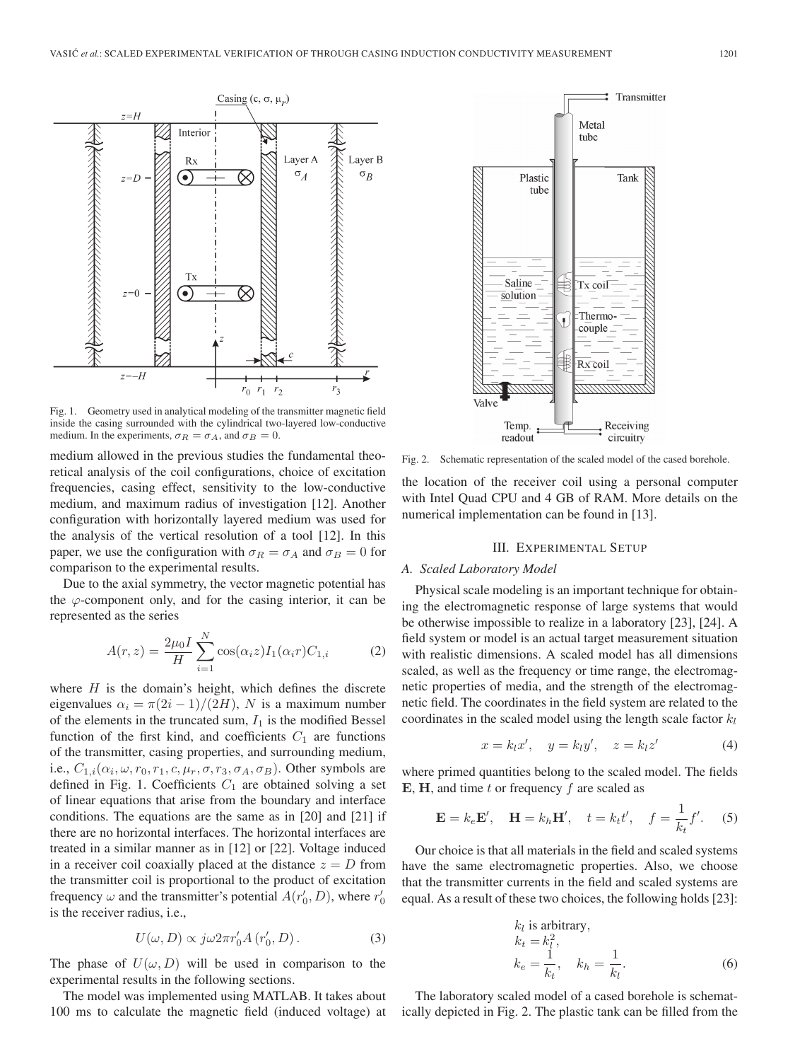

Fig. 1. Geometry used in analytical modeling of the transmitter magnetic field inside the casing surrounded with the cylindrical two-layered low-conductive medium. In the experiments,  $\sigma_R = \sigma_A$ , and  $\sigma_B = 0$ .

medium allowed in the previous studies the fundamental theoretical analysis of the coil configurations, choice of excitation frequencies, casing effect, sensitivity to the low-conductive medium, and maximum radius of investigation [12]. Another configuration with horizontally layered medium was used for the analysis of the vertical resolution of a tool [12]. In this paper, we use the configuration with  $\sigma_R = \sigma_A$  and  $\sigma_B = 0$  for comparison to the experimental results.

Due to the axial symmetry, the vector magnetic potential has the  $\varphi$ -component only, and for the casing interior, it can be represented as the series

$$
A(r,z) = \frac{2\mu_0 I}{H} \sum_{i=1}^{N} \cos(\alpha_i z) I_1(\alpha_i r) C_{1,i}
$$
 (2)

where  $H$  is the domain's height, which defines the discrete eigenvalues  $\alpha_i = \pi(2i-1)/(2H)$ , N is a maximum number of the elements in the truncated sum,  $I_1$  is the modified Bessel function of the first kind, and coefficients  $C_1$  are functions of the transmitter, casing properties, and surrounding medium, i.e.,  $C_{1,i}(\alpha_i, \omega, r_0, r_1, c, \mu_r, \sigma, r_3, \sigma_A, \sigma_B)$ . Other symbols are defined in Fig. 1. Coefficients  $C_1$  are obtained solving a set of linear equations that arise from the boundary and interface conditions. The equations are the same as in [20] and [21] if there are no horizontal interfaces. The horizontal interfaces are treated in a similar manner as in [12] or [22]. Voltage induced in a receiver coil coaxially placed at the distance  $z = D$  from the transmitter coil is proportional to the product of excitation frequency  $\omega$  and the transmitter's potential  $A(r'_0, D)$ , where  $r'_0$ is the receiver radius, i.e.,

$$
U(\omega, D) \propto j\omega 2\pi r'_0 A(r'_0, D). \tag{3}
$$

The phase of  $U(\omega, D)$  will be used in comparison to the experimental results in the following sections.

The model was implemented using MATLAB. It takes about 100 ms to calculate the magnetic field (induced voltage) at



Fig. 2. Schematic representation of the scaled model of the cased borehole.

the location of the receiver coil using a personal computer with Intel Quad CPU and 4 GB of RAM. More details on the numerical implementation can be found in [13].

#### III. EXPERIMENTAL SETUP

#### *A. Scaled Laboratory Model*

Physical scale modeling is an important technique for obtaining the electromagnetic response of large systems that would be otherwise impossible to realize in a laboratory [23], [24]. A field system or model is an actual target measurement situation with realistic dimensions. A scaled model has all dimensions scaled, as well as the frequency or time range, the electromagnetic properties of media, and the strength of the electromagnetic field. The coordinates in the field system are related to the coordinates in the scaled model using the length scale factor  $k_l$ 

$$
x = k_l x', \quad y = k_l y', \quad z = k_l z'
$$
 (4)

where primed quantities belong to the scaled model. The fields  $E$ ,  $H$ , and time t or frequency f are scaled as

$$
\mathbf{E} = k_e \mathbf{E}', \quad \mathbf{H} = k_h \mathbf{H}', \quad t = k_t t', \quad f = \frac{1}{k_t} f'. \tag{5}
$$

Our choice is that all materials in the field and scaled systems have the same electromagnetic properties. Also, we choose that the transmitter currents in the field and scaled systems are equal. As a result of these two choices, the following holds [23]:

$$
k_l \text{ is arbitrary,}
$$
  
\n
$$
k_t = k_l^2,
$$
  
\n
$$
k_e = \frac{1}{k_t}, \quad k_h = \frac{1}{k_l}.
$$
 (6)

The laboratory scaled model of a cased borehole is schematically depicted in Fig. 2. The plastic tank can be filled from the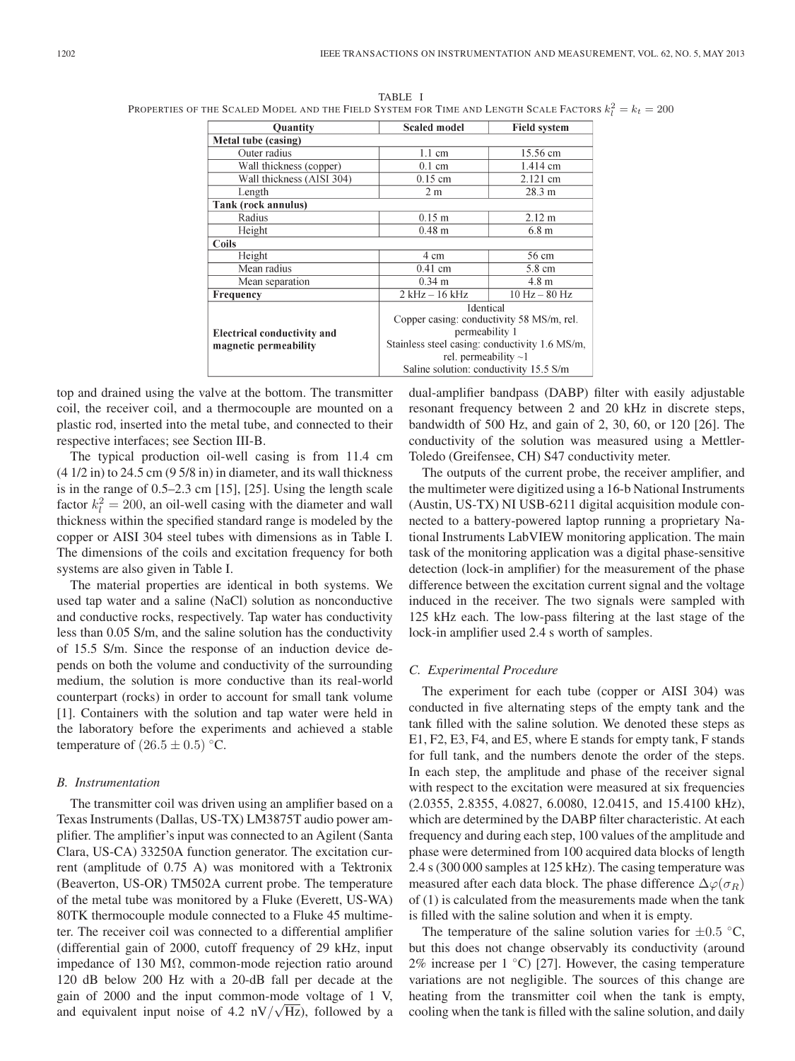TABLE I Properties of the Scaled Model and the Field System for Time and Length Scale Factors  $k_l^2 = k_t = 200\,$ 

| <b>Quantity</b>                    | <b>Scaled model</b>                                                      | <b>Field system</b> |
|------------------------------------|--------------------------------------------------------------------------|---------------------|
| Metal tube (casing)                |                                                                          |                     |
| Outer radius                       | $1.1 \text{ cm}$                                                         | 15.56 cm            |
| Wall thickness (copper)            | $0.1 \text{ cm}$                                                         | 1.414 cm            |
| Wall thickness (AISI 304)          | $0.15$ cm                                                                | 2.121 cm            |
| Length                             | 2 <sub>m</sub>                                                           | 28.3 m              |
| Tank (rock annulus)                |                                                                          |                     |
| Radius                             | $0.15$ m                                                                 | $2.12 \text{ m}$    |
| Height                             | $0.48 \; \mathrm{m}$                                                     | 6.8 <sub>m</sub>    |
| Coils                              |                                                                          |                     |
| Height                             | 4 cm                                                                     | 56 cm               |
| Mean radius                        | $0.41$ cm                                                                | 5.8 cm              |
| Mean separation                    | $0.34$ m                                                                 | 4.8 <sub>m</sub>    |
| Frequency                          | $2$ kHz $-$ 16 kHz                                                       | $10$ Hz $-$ 80 Hz   |
|                                    | Identical<br>Copper casing: conductivity 58 MS/m, rel.<br>permeability 1 |                     |
| <b>Electrical conductivity and</b> |                                                                          |                     |
| magnetic permeability              | Stainless steel casing: conductivity 1.6 MS/m,                           |                     |
|                                    | rel. permeability $\sim$ 1                                               |                     |
|                                    | Saline solution: conductivity 15.5 S/m                                   |                     |

top and drained using the valve at the bottom. The transmitter coil, the receiver coil, and a thermocouple are mounted on a plastic rod, inserted into the metal tube, and connected to their respective interfaces; see Section III-B.

The typical production oil-well casing is from 11.4 cm  $(4 1/2$  in) to 24.5 cm  $(9 5/8$  in) in diameter, and its wall thickness is in the range of 0.5–2.3 cm [15], [25]. Using the length scale factor  $k_l^2 = 200$ , an oil-well casing with the diameter and wall thickness within the specified standard range is modeled by the copper or AISI 304 steel tubes with dimensions as in Table I. The dimensions of the coils and excitation frequency for both systems are also given in Table I.

The material properties are identical in both systems. We used tap water and a saline (NaCl) solution as nonconductive and conductive rocks, respectively. Tap water has conductivity less than 0.05 S/m, and the saline solution has the conductivity of 15.5 S/m. Since the response of an induction device depends on both the volume and conductivity of the surrounding medium, the solution is more conductive than its real-world counterpart (rocks) in order to account for small tank volume [1]. Containers with the solution and tap water were held in the laboratory before the experiments and achieved a stable temperature of  $(26.5 \pm 0.5)$  °C.

## *B. Instrumentation*

The transmitter coil was driven using an amplifier based on a Texas Instruments (Dallas, US-TX) LM3875T audio power amplifier. The amplifier's input was connected to an Agilent (Santa Clara, US-CA) 33250A function generator. The excitation current (amplitude of 0.75 A) was monitored with a Tektronix (Beaverton, US-OR) TM502A current probe. The temperature of the metal tube was monitored by a Fluke (Everett, US-WA) 80TK thermocouple module connected to a Fluke 45 multimeter. The receiver coil was connected to a differential amplifier (differential gain of 2000, cutoff frequency of 29 kHz, input impedance of 130 MΩ, common-mode rejection ratio around 120 dB below 200 Hz with a 20-dB fall per decade at the gain of 2000 and the input common-mode voltage of 1 V, and equivalent input noise of  $4.2 \text{ nV}/\sqrt{\text{Hz}}$ , followed by a

dual-amplifier bandpass (DABP) filter with easily adjustable resonant frequency between 2 and 20 kHz in discrete steps, bandwidth of 500 Hz, and gain of 2, 30, 60, or 120 [26]. The conductivity of the solution was measured using a Mettler-Toledo (Greifensee, CH) S47 conductivity meter.

The outputs of the current probe, the receiver amplifier, and the multimeter were digitized using a 16-b National Instruments (Austin, US-TX) NI USB-6211 digital acquisition module connected to a battery-powered laptop running a proprietary National Instruments LabVIEW monitoring application. The main task of the monitoring application was a digital phase-sensitive detection (lock-in amplifier) for the measurement of the phase difference between the excitation current signal and the voltage induced in the receiver. The two signals were sampled with 125 kHz each. The low-pass filtering at the last stage of the lock-in amplifier used 2.4 s worth of samples.

## *C. Experimental Procedure*

The experiment for each tube (copper or AISI 304) was conducted in five alternating steps of the empty tank and the tank filled with the saline solution. We denoted these steps as E1, F2, E3, F4, and E5, where E stands for empty tank, F stands for full tank, and the numbers denote the order of the steps. In each step, the amplitude and phase of the receiver signal with respect to the excitation were measured at six frequencies (2.0355, 2.8355, 4.0827, 6.0080, 12.0415, and 15.4100 kHz), which are determined by the DABP filter characteristic. At each frequency and during each step, 100 values of the amplitude and phase were determined from 100 acquired data blocks of length 2.4 s (300 000 samples at 125 kHz). The casing temperature was measured after each data block. The phase difference  $\Delta\varphi(\sigma_R)$ of (1) is calculated from the measurements made when the tank is filled with the saline solution and when it is empty.

The temperature of the saline solution varies for  $\pm 0.5$  °C, but this does not change observably its conductivity (around 2% increase per  $1 °C$  [27]. However, the casing temperature variations are not negligible. The sources of this change are heating from the transmitter coil when the tank is empty, cooling when the tank is filled with the saline solution, and daily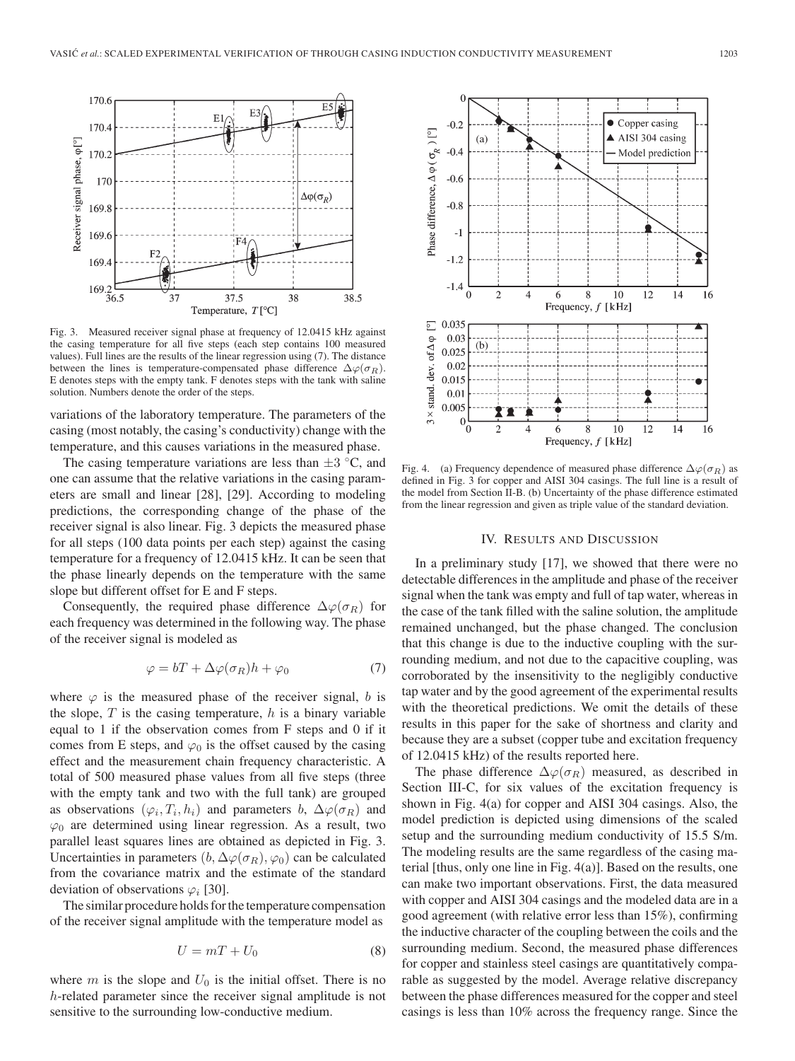

Fig. 3. Measured receiver signal phase at frequency of 12.0415 kHz against the casing temperature for all five steps (each step contains 100 measured values). Full lines are the results of the linear regression using (7). The distance between the lines is temperature-compensated phase difference  $\Delta\varphi(\sigma_R)$ . E denotes steps with the empty tank. F denotes steps with the tank with saline solution. Numbers denote the order of the steps.

variations of the laboratory temperature. The parameters of the casing (most notably, the casing's conductivity) change with the temperature, and this causes variations in the measured phase.

The casing temperature variations are less than  $\pm 3$  °C, and one can assume that the relative variations in the casing parameters are small and linear [28], [29]. According to modeling predictions, the corresponding change of the phase of the receiver signal is also linear. Fig. 3 depicts the measured phase for all steps (100 data points per each step) against the casing temperature for a frequency of 12.0415 kHz. It can be seen that the phase linearly depends on the temperature with the same slope but different offset for E and F steps.

Consequently, the required phase difference  $\Delta\varphi(\sigma_R)$  for each frequency was determined in the following way. The phase of the receiver signal is modeled as

$$
\varphi = bT + \Delta\varphi(\sigma_R)h + \varphi_0 \tag{7}
$$

where  $\varphi$  is the measured phase of the receiver signal, b is the slope,  $T$  is the casing temperature,  $h$  is a binary variable equal to 1 if the observation comes from F steps and 0 if it comes from E steps, and  $\varphi_0$  is the offset caused by the casing effect and the measurement chain frequency characteristic. A total of 500 measured phase values from all five steps (three with the empty tank and two with the full tank) are grouped as observations  $(\varphi_i, T_i, h_i)$  and parameters b,  $\Delta \varphi(\sigma_R)$  and  $\varphi_0$  are determined using linear regression. As a result, two parallel least squares lines are obtained as depicted in Fig. 3. Uncertainties in parameters  $(b, \Delta \varphi(\sigma_R), \varphi_0)$  can be calculated from the covariance matrix and the estimate of the standard deviation of observations  $\varphi_i$  [30].

The similar procedure holds for the temperature compensation of the receiver signal amplitude with the temperature model as

$$
U = mT + U_0 \tag{8}
$$

where  $m$  is the slope and  $U_0$  is the initial offset. There is no h-related parameter since the receiver signal amplitude is not sensitive to the surrounding low-conductive medium.



Fig. 4. (a) Frequency dependence of measured phase difference  $\Delta\varphi(\sigma_R)$  as defined in Fig. 3 for copper and AISI 304 casings. The full line is a result of the model from Section II-B. (b) Uncertainty of the phase difference estimated from the linear regression and given as triple value of the standard deviation.

## IV. RESULTS AND DISCUSSION

In a preliminary study [17], we showed that there were no detectable differences in the amplitude and phase of the receiver signal when the tank was empty and full of tap water, whereas in the case of the tank filled with the saline solution, the amplitude remained unchanged, but the phase changed. The conclusion that this change is due to the inductive coupling with the surrounding medium, and not due to the capacitive coupling, was corroborated by the insensitivity to the negligibly conductive tap water and by the good agreement of the experimental results with the theoretical predictions. We omit the details of these results in this paper for the sake of shortness and clarity and because they are a subset (copper tube and excitation frequency of 12.0415 kHz) of the results reported here.

The phase difference  $\Delta\varphi(\sigma_R)$  measured, as described in Section III-C, for six values of the excitation frequency is shown in Fig. 4(a) for copper and AISI 304 casings. Also, the model prediction is depicted using dimensions of the scaled setup and the surrounding medium conductivity of 15.5 S/m. The modeling results are the same regardless of the casing material [thus, only one line in Fig. 4(a)]. Based on the results, one can make two important observations. First, the data measured with copper and AISI 304 casings and the modeled data are in a good agreement (with relative error less than 15%), confirming the inductive character of the coupling between the coils and the surrounding medium. Second, the measured phase differences for copper and stainless steel casings are quantitatively comparable as suggested by the model. Average relative discrepancy between the phase differences measured for the copper and steel casings is less than 10% across the frequency range. Since the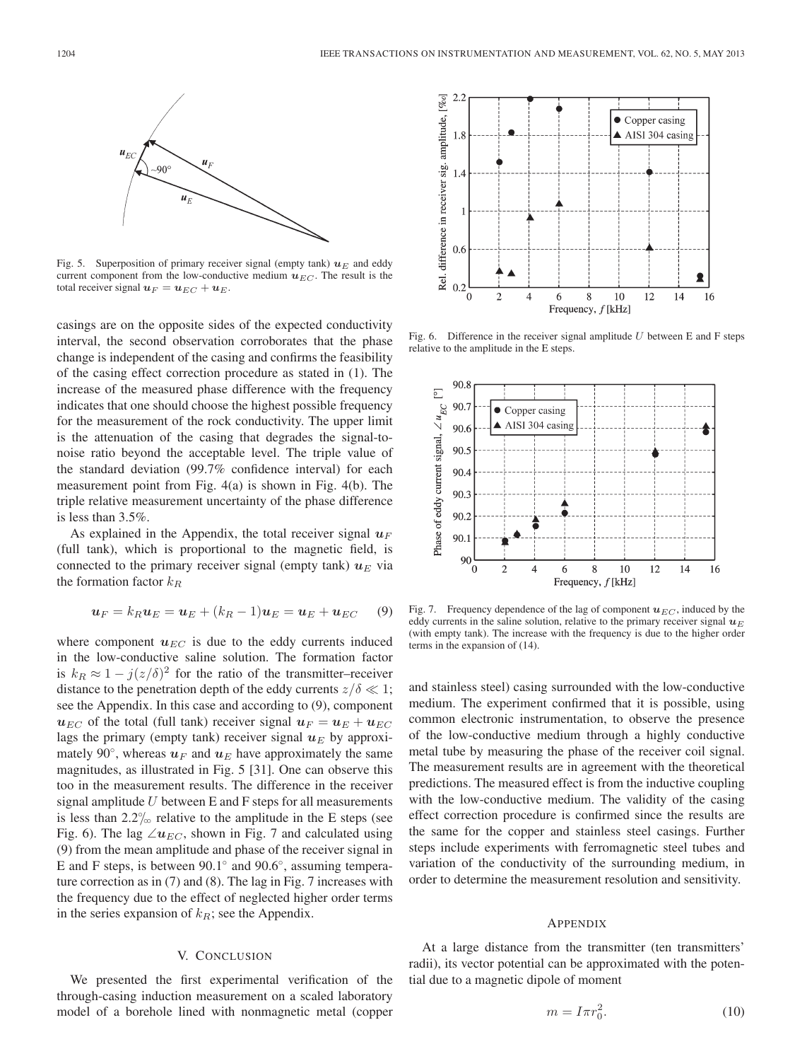

Fig. 5. Superposition of primary receiver signal (empty tank)  $u_E$  and eddy current component from the low-conductive medium  $u_{EC}$ . The result is the total receiver signal  $u_F = u_{EC} + u_E$ .

casings are on the opposite sides of the expected conductivity interval, the second observation corroborates that the phase change is independent of the casing and confirms the feasibility of the casing effect correction procedure as stated in (1). The increase of the measured phase difference with the frequency indicates that one should choose the highest possible frequency for the measurement of the rock conductivity. The upper limit is the attenuation of the casing that degrades the signal-tonoise ratio beyond the acceptable level. The triple value of the standard deviation (99.7% confidence interval) for each measurement point from Fig. 4(a) is shown in Fig. 4(b). The triple relative measurement uncertainty of the phase difference is less than 3.5%.

As explained in the Appendix, the total receiver signal  $u_F$ (full tank), which is proportional to the magnetic field, is connected to the primary receiver signal (empty tank)  $u_E$  via the formation factor  $k_R$ 

$$
\boldsymbol{u}_F = k_R \boldsymbol{u}_E = \boldsymbol{u}_E + (k_R - 1)\boldsymbol{u}_E = \boldsymbol{u}_E + \boldsymbol{u}_{EC} \tag{9}
$$

where component  $u_{EC}$  is due to the eddy currents induced in the low-conductive saline solution. The formation factor is  $k_R \approx 1 - j(z/\delta)^2$  for the ratio of the transmitter–receiver distance to the penetration depth of the eddy currents  $z/\delta \ll 1$ ; see the Appendix. In this case and according to (9), component  $u_{EC}$  of the total (full tank) receiver signal  $u_F = u_E + u_{EC}$ lags the primary (empty tank) receiver signal  $u_E$  by approximately 90 $\degree$ , whereas  $u_F$  and  $u_E$  have approximately the same magnitudes, as illustrated in Fig. 5 [31]. One can observe this too in the measurement results. The difference in the receiver signal amplitude  $U$  between E and F steps for all measurements is less than  $2.2\%$  relative to the amplitude in the E steps (see Fig. 6). The lag  $\angle u_{EC}$ , shown in Fig. 7 and calculated using (9) from the mean amplitude and phase of the receiver signal in E and F steps, is between 90.1◦ and 90.6◦, assuming temperature correction as in (7) and (8). The lag in Fig. 7 increases with the frequency due to the effect of neglected higher order terms in the series expansion of  $k<sub>R</sub>$ ; see the Appendix.

## V. CONCLUSION

We presented the first experimental verification of the through-casing induction measurement on a scaled laboratory model of a borehole lined with nonmagnetic metal (copper



Fig. 6. Difference in the receiver signal amplitude  $U$  between E and F steps relative to the amplitude in the E steps.



Fig. 7. Frequency dependence of the lag of component  $u_{EC}$ , induced by the eddy currents in the saline solution, relative to the primary receiver signal  $u_E$ (with empty tank). The increase with the frequency is due to the higher order terms in the expansion of (14).

and stainless steel) casing surrounded with the low-conductive medium. The experiment confirmed that it is possible, using common electronic instrumentation, to observe the presence of the low-conductive medium through a highly conductive metal tube by measuring the phase of the receiver coil signal. The measurement results are in agreement with the theoretical predictions. The measured effect is from the inductive coupling with the low-conductive medium. The validity of the casing effect correction procedure is confirmed since the results are the same for the copper and stainless steel casings. Further steps include experiments with ferromagnetic steel tubes and variation of the conductivity of the surrounding medium, in order to determine the measurement resolution and sensitivity.

#### APPENDIX

At a large distance from the transmitter (ten transmitters' radii), its vector potential can be approximated with the potential due to a magnetic dipole of moment

$$
m = I\pi r_0^2. \tag{10}
$$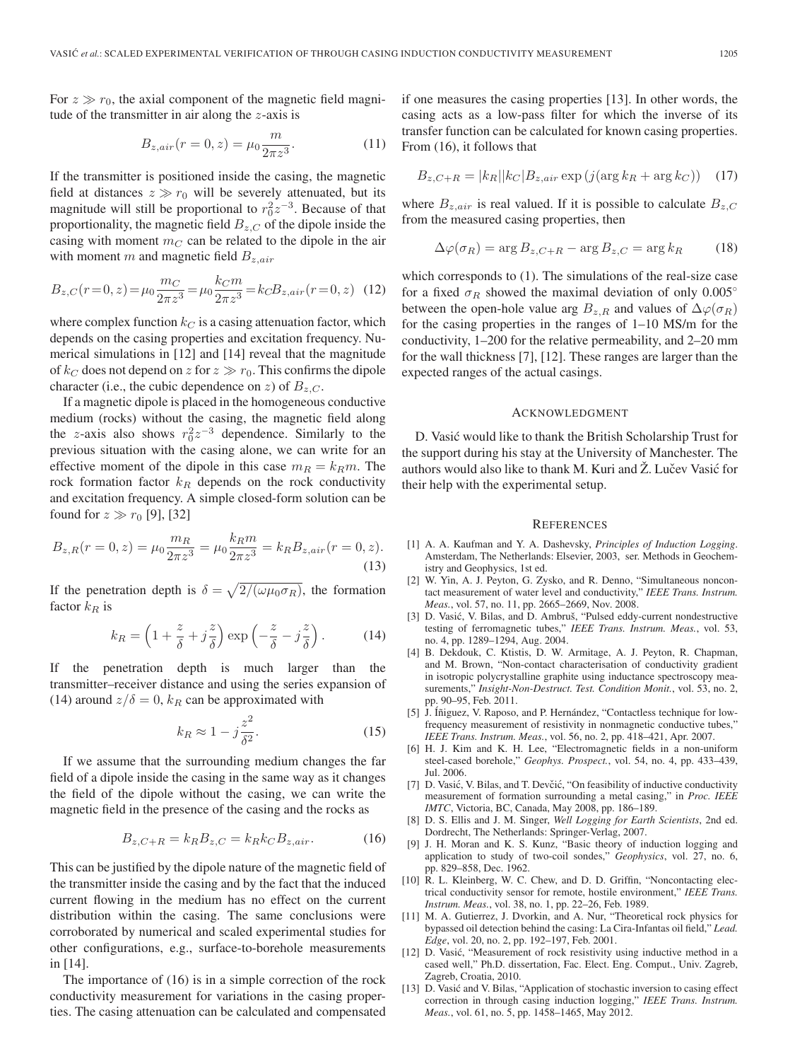For  $z \gg r_0$ , the axial component of the magnetic field magnitude of the transmitter in air along the  $z$ -axis is

$$
B_{z,air}(r = 0, z) = \mu_0 \frac{m}{2\pi z^3}.
$$
 (11)

If the transmitter is positioned inside the casing, the magnetic field at distances  $z \gg r_0$  will be severely attenuated, but its magnitude will still be proportional to  $r_0^2 z^{-3}$ . Because of that proportionality, the magnetic field  $B_{z,C}$  of the dipole inside the casing with moment  $m<sub>C</sub>$  can be related to the dipole in the air with moment m and magnetic field  $B_{z,air}$ 

$$
B_{z,C}(r=0,z) = \mu_0 \frac{m_C}{2\pi z^3} = \mu_0 \frac{k_C m}{2\pi z^3} = k_C B_{z,air}(r=0,z)
$$
 (12)

where complex function  $k_C$  is a casing attenuation factor, which depends on the casing properties and excitation frequency. Numerical simulations in [12] and [14] reveal that the magnitude of  $k_C$  does not depend on z for  $z \gg r_0$ . This confirms the dipole character (i.e., the cubic dependence on z) of  $B_{z,C}$ .

If a magnetic dipole is placed in the homogeneous conductive medium (rocks) without the casing, the magnetic field along the z-axis also shows  $r_0^2 z^{-3}$  dependence. Similarly to the previous situation with the casing alone, we can write for an effective moment of the dipole in this case  $m_R = k_R m$ . The rock formation factor  $k_R$  depends on the rock conductivity and excitation frequency. A simple closed-form solution can be found for  $z \gg r_0$  [9], [32]

$$
B_{z,R}(r=0,z) = \mu_0 \frac{m_R}{2\pi z^3} = \mu_0 \frac{k_R m}{2\pi z^3} = k_R B_{z,air}(r=0,z).
$$
\n(13)

If the penetration depth is  $\delta = \sqrt{2/(\omega \mu_0 \sigma_R)}$ , the formation factor  $k_R$  is

$$
k_R = \left(1 + \frac{z}{\delta} + j\frac{z}{\delta}\right) \exp\left(-\frac{z}{\delta} - j\frac{z}{\delta}\right). \tag{14}
$$

If the penetration depth is much larger than the transmitter–receiver distance and using the series expansion of (14) around  $z/\delta = 0$ ,  $k_R$  can be approximated with

$$
k_R \approx 1 - j\frac{z^2}{\delta^2}.\tag{15}
$$

If we assume that the surrounding medium changes the far field of a dipole inside the casing in the same way as it changes the field of the dipole without the casing, we can write the magnetic field in the presence of the casing and the rocks as

$$
B_{z,C+R} = k_R B_{z,C} = k_R k_C B_{z,air}.
$$
 (16)

This can be justified by the dipole nature of the magnetic field of the transmitter inside the casing and by the fact that the induced current flowing in the medium has no effect on the current distribution within the casing. The same conclusions were corroborated by numerical and scaled experimental studies for other configurations, e.g., surface-to-borehole measurements in [14].

The importance of (16) is in a simple correction of the rock conductivity measurement for variations in the casing properties. The casing attenuation can be calculated and compensated if one measures the casing properties [13]. In other words, the casing acts as a low-pass filter for which the inverse of its transfer function can be calculated for known casing properties. From (16), it follows that

$$
B_{z,C+R} = |k_R||k_C|B_{z,air} \exp\left(j(\arg k_R + \arg k_C)\right) \quad (17)
$$

where  $B_{z,air}$  is real valued. If it is possible to calculate  $B_{z,C}$ from the measured casing properties, then

$$
\Delta \varphi(\sigma_R) = \arg B_{z,C+R} - \arg B_{z,C} = \arg k_R \tag{18}
$$

which corresponds to (1). The simulations of the real-size case for a fixed  $\sigma_R$  showed the maximal deviation of only 0.005° between the open-hole value arg  $B_{z,R}$  and values of  $\Delta\varphi(\sigma_R)$ for the casing properties in the ranges of 1–10 MS/m for the conductivity, 1–200 for the relative permeability, and 2–20 mm for the wall thickness [7], [12]. These ranges are larger than the expected ranges of the actual casings.

#### ACKNOWLEDGMENT

D. Vasic would like to thank the British Scholarship Trust for ´ the support during his stay at the University of Manchester. The authors would also like to thank M. Kuri and  $\check{Z}$ . Lučev Vasić for their help with the experimental setup.

#### **REFERENCES**

- [1] A. A. Kaufman and Y. A. Dashevsky, *Principles of Induction Logging*. Amsterdam, The Netherlands: Elsevier, 2003, ser. Methods in Geochemistry and Geophysics, 1st ed.
- [2] W. Yin, A. J. Peyton, G. Zysko, and R. Denno, "Simultaneous noncontact measurement of water level and conductivity," *IEEE Trans. Instrum. Meas.*, vol. 57, no. 11, pp. 2665–2669, Nov. 2008.
- [3] D. Vasić, V. Bilas, and D. Ambruš, "Pulsed eddy-current nondestructive testing of ferromagnetic tubes," *IEEE Trans. Instrum. Meas.*, vol. 53, no. 4, pp. 1289–1294, Aug. 2004.
- [4] B. Dekdouk, C. Ktistis, D. W. Armitage, A. J. Peyton, R. Chapman, and M. Brown, "Non-contact characterisation of conductivity gradient in isotropic polycrystalline graphite using inductance spectroscopy measurements," *Insight-Non-Destruct. Test. Condition Monit.*, vol. 53, no. 2, pp. 90–95, Feb. 2011.
- [5] J. Íñiguez, V. Raposo, and P. Hernández, "Contactless technique for lowfrequency measurement of resistivity in nonmagnetic conductive tubes," *IEEE Trans. Instrum. Meas.*, vol. 56, no. 2, pp. 418–421, Apr. 2007.
- [6] H. J. Kim and K. H. Lee, "Electromagnetic fields in a non-uniform steel-cased borehole," *Geophys. Prospect.*, vol. 54, no. 4, pp. 433–439, Jul. 2006.
- [7] D. Vasić, V. Bilas, and T. Devčić, "On feasibility of inductive conductivity measurement of formation surrounding a metal casing," in *Proc. IEEE IMTC*, Victoria, BC, Canada, May 2008, pp. 186–189.
- [8] D. S. Ellis and J. M. Singer, *Well Logging for Earth Scientists*, 2nd ed. Dordrecht, The Netherlands: Springer-Verlag, 2007.
- [9] J. H. Moran and K. S. Kunz, "Basic theory of induction logging and application to study of two-coil sondes," *Geophysics*, vol. 27, no. 6, pp. 829–858, Dec. 1962.
- [10] R. L. Kleinberg, W. C. Chew, and D. D. Griffin, "Noncontacting electrical conductivity sensor for remote, hostile environment," *IEEE Trans. Instrum. Meas.*, vol. 38, no. 1, pp. 22–26, Feb. 1989.
- [11] M. A. Gutierrez, J. Dvorkin, and A. Nur, "Theoretical rock physics for bypassed oil detection behind the casing: La Cira-Infantas oil field," *Lead. Edge*, vol. 20, no. 2, pp. 192–197, Feb. 2001.
- [12] D. Vasic, "Measurement of rock resistivity using inductive method in a ´ cased well," Ph.D. dissertation, Fac. Elect. Eng. Comput., Univ. Zagreb, Zagreb, Croatia, 2010.
- [13] D. Vasić and V. Bilas, "Application of stochastic inversion to casing effect correction in through casing induction logging," *IEEE Trans. Instrum. Meas.*, vol. 61, no. 5, pp. 1458–1465, May 2012.